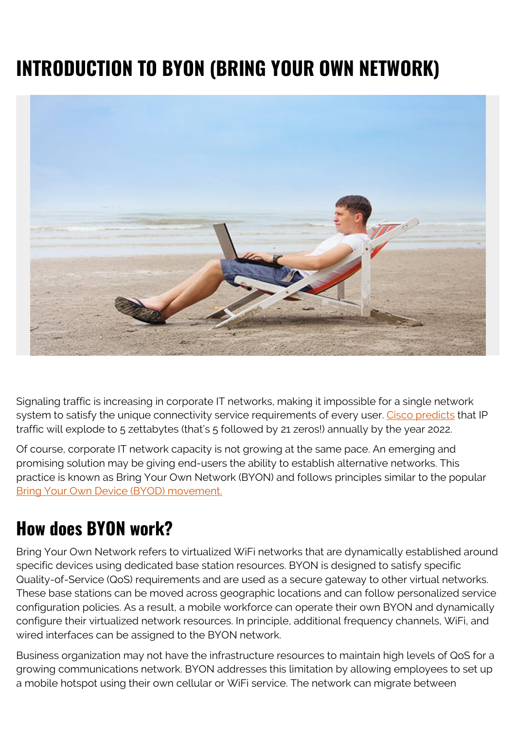## **INTRODUCTION TO BYON (BRING YOUR OWN NETWORK)**



Signaling traffic is increasing in corporate IT networks, making it impossible for a single network system to satisfy the unique connectivity service requirements of every user. [Cisco predicts](https://www.networkworld.com/article/3323063/cisco-predicts-nearly-5-zettabytes-of-ip-traffic-per-year-by-2022.html) that IP traffic will explode to 5 zettabytes (that's 5 followed by 21 zeros!) annually by the year 2022.

Of course, corporate IT network capacity is not growing at the same pace. An emerging and promising solution may be giving end-users the ability to establish alternative networks. This practice is known as Bring Your Own Network (BYON) and follows principles similar to the popular [Bring Your Own Device \(BYOD\) movement.](https://blogs.bmc.com/blogs/byod-policies/)

## **How does BYON work?**

Bring Your Own Network refers to virtualized WiFi networks that are dynamically established around specific devices using dedicated base station resources. BYON is designed to satisfy specific Quality-of-Service (QoS) requirements and are used as a secure gateway to other virtual networks. These base stations can be moved across geographic locations and can follow personalized service configuration policies. As a result, a mobile workforce can operate their own BYON and dynamically configure their virtualized network resources. In principle, additional frequency channels, WiFi, and wired interfaces can be assigned to the BYON network.

Business organization may not have the infrastructure resources to maintain high levels of QoS for a growing communications network. BYON addresses this limitation by allowing employees to set up a mobile hotspot using their own cellular or WiFi service. The network can migrate between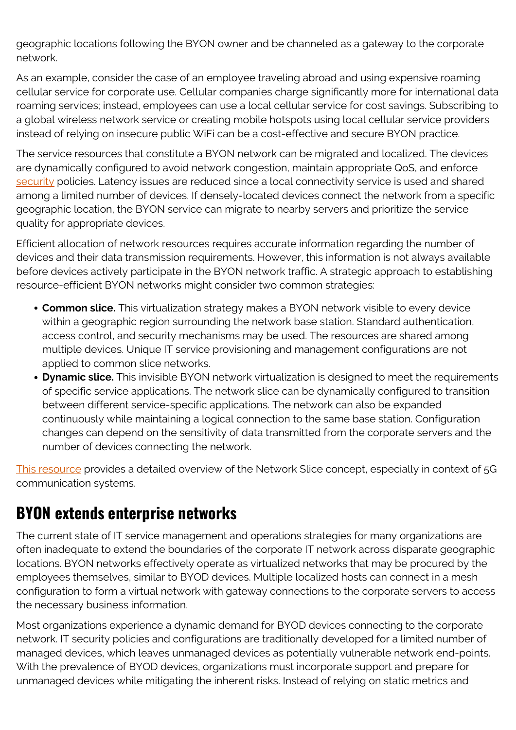geographic locations following the BYON owner and be channeled as a gateway to the corporate network.

As an example, consider the case of an employee traveling abroad and using expensive roaming cellular service for corporate use. Cellular companies charge significantly more for international data roaming services; instead, employees can use a local cellular service for cost savings. Subscribing to a global wireless network service or creating mobile hotspots using local cellular service providers instead of relying on insecure public WiFi can be a cost-effective and secure BYON practice.

The service resources that constitute a BYON network can be migrated and localized. The devices are dynamically configured to avoid network congestion, maintain appropriate QoS, and enforce [security](https://blogs.bmc.com/blogs/security-vulnerability-vs-threat-vs-risk-whats-difference/) policies. Latency issues are reduced since a local connectivity service is used and shared among a limited number of devices. If densely-located devices connect the network from a specific geographic location, the BYON service can migrate to nearby servers and prioritize the service quality for appropriate devices.

Efficient allocation of network resources requires accurate information regarding the number of devices and their data transmission requirements. However, this information is not always available before devices actively participate in the BYON network traffic. A strategic approach to establishing resource-efficient BYON networks might consider two common strategies:

- **Common slice.** This virtualization strategy makes a BYON network visible to every device within a geographic region surrounding the network base station. Standard authentication, access control, and security mechanisms may be used. The resources are shared among multiple devices. Unique IT service provisioning and management configurations are not applied to common slice networks.
- **Dynamic slice.** This invisible BYON network virtualization is designed to meet the requirements of specific service applications. The network slice can be dynamically configured to transition between different service-specific applications. The network can also be expanded continuously while maintaining a logical connection to the same base station. Configuration changes can depend on the sensitivity of data transmitted from the corporate servers and the number of devices connecting the network.

[This resource](https://web.archive.org/web/20190920184524/https://ui.adsabs.harvard.edu/abs/2017arXiv170402129R/abstract) provides a detailed overview of the Network Slice concept, especially in context of 5G communication systems.

## **BYON extends enterprise networks**

The current state of IT service management and operations strategies for many organizations are often inadequate to extend the boundaries of the corporate IT network across disparate geographic locations. BYON networks effectively operate as virtualized networks that may be procured by the employees themselves, similar to BYOD devices. Multiple localized hosts can connect in a mesh configuration to form a virtual network with gateway connections to the corporate servers to access the necessary business information.

Most organizations experience a dynamic demand for BYOD devices connecting to the corporate network. IT security policies and configurations are traditionally developed for a limited number of managed devices, which leaves unmanaged devices as potentially vulnerable network end-points. With the prevalence of BYOD devices, organizations must incorporate support and prepare for unmanaged devices while mitigating the inherent risks. Instead of relying on static metrics and